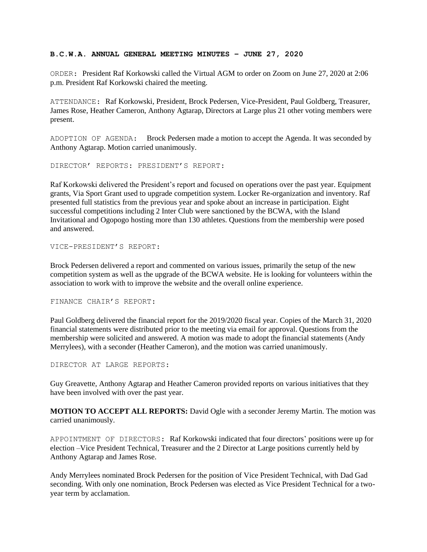## **B.C.W.A. ANNUAL GENERAL MEETING MINUTES – JUNE 27, 2020**

ORDER: President Raf Korkowski called the Virtual AGM to order on Zoom on June 27, 2020 at 2:06 p.m. President Raf Korkowski chaired the meeting.

ATTENDANCE: Raf Korkowski, President, Brock Pedersen, Vice-President, Paul Goldberg, Treasurer, James Rose, Heather Cameron, Anthony Agtarap, Directors at Large plus 21 other voting members were present.

ADOPTION OF AGENDA: Brock Pedersen made a motion to accept the Agenda. It was seconded by Anthony Agtarap. Motion carried unanimously.

DIRECTOR' REPORTS: PRESIDENT'S REPORT:

Raf Korkowski delivered the President's report and focused on operations over the past year. Equipment grants, Via Sport Grant used to upgrade competition system. Locker Re-organization and inventory. Raf presented full statistics from the previous year and spoke about an increase in participation. Eight successful competitions including 2 Inter Club were sanctioned by the BCWA, with the Island Invitational and Ogopogo hosting more than 130 athletes. Questions from the membership were posed and answered.

VICE-PRESIDENT'S REPORT:

Brock Pedersen delivered a report and commented on various issues, primarily the setup of the new competition system as well as the upgrade of the BCWA website. He is looking for volunteers within the association to work with to improve the website and the overall online experience.

FINANCE CHAIR'S REPORT:

Paul Goldberg delivered the financial report for the 2019/2020 fiscal year. Copies of the March 31, 2020 financial statements were distributed prior to the meeting via email for approval. Questions from the membership were solicited and answered. A motion was made to adopt the financial statements (Andy Merrylees), with a seconder (Heather Cameron), and the motion was carried unanimously.

DIRECTOR AT LARGE REPORTS:

Guy Greavette, Anthony Agtarap and Heather Cameron provided reports on various initiatives that they have been involved with over the past year.

**MOTION TO ACCEPT ALL REPORTS:** David Ogle with a seconder Jeremy Martin. The motion was carried unanimously.

APPOINTMENT OF DIRECTORS: Raf Korkowski indicated that four directors' positions were up for election –Vice President Technical, Treasurer and the 2 Director at Large positions currently held by Anthony Agtarap and James Rose.

Andy Merrylees nominated Brock Pedersen for the position of Vice President Technical, with Dad Gad seconding. With only one nomination, Brock Pedersen was elected as Vice President Technical for a twoyear term by acclamation.